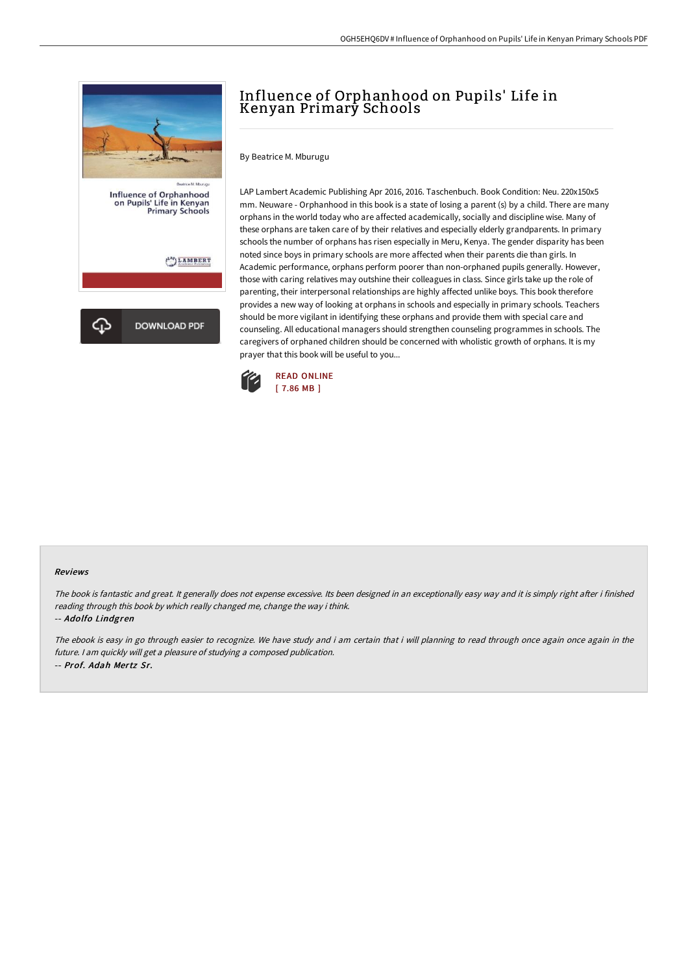

# Influence of Orphanhood on Pupils' Life in Kenyan Primary Schools

By Beatrice M. Mburugu

LAP Lambert Academic Publishing Apr 2016, 2016. Taschenbuch. Book Condition: Neu. 220x150x5 mm. Neuware - Orphanhood in this book is a state of losing a parent (s) by a child. There are many orphans in the world today who are affected academically, socially and discipline wise. Many of these orphans are taken care of by their relatives and especially elderly grandparents. In primary schools the number of orphans has risen especially in Meru, Kenya. The gender disparity has been noted since boys in primary schools are more affected when their parents die than girls. In Academic performance, orphans perform poorer than non-orphaned pupils generally. However, those with caring relatives may outshine their colleagues in class. Since girls take up the role of parenting, their interpersonal relationships are highly affected unlike boys. This book therefore provides a new way of looking at orphans in schools and especially in primary schools. Teachers should be more vigilant in identifying these orphans and provide them with special care and counseling. All educational managers should strengthen counseling programmes in schools. The caregivers of orphaned children should be concerned with wholistic growth of orphans. It is my prayer that this book will be useful to you...



#### Reviews

The book is fantastic and great. It generally does not expense excessive. Its been designed in an exceptionally easy way and it is simply right after i finished reading through this book by which really changed me, change the way i think. -- Adolfo Lindgren

The ebook is easy in go through easier to recognize. We have study and i am certain that i will planning to read through once again once again in the future. <sup>I</sup> am quickly will get <sup>a</sup> pleasure of studying <sup>a</sup> composed publication. -- Prof. Adah Mertz Sr.